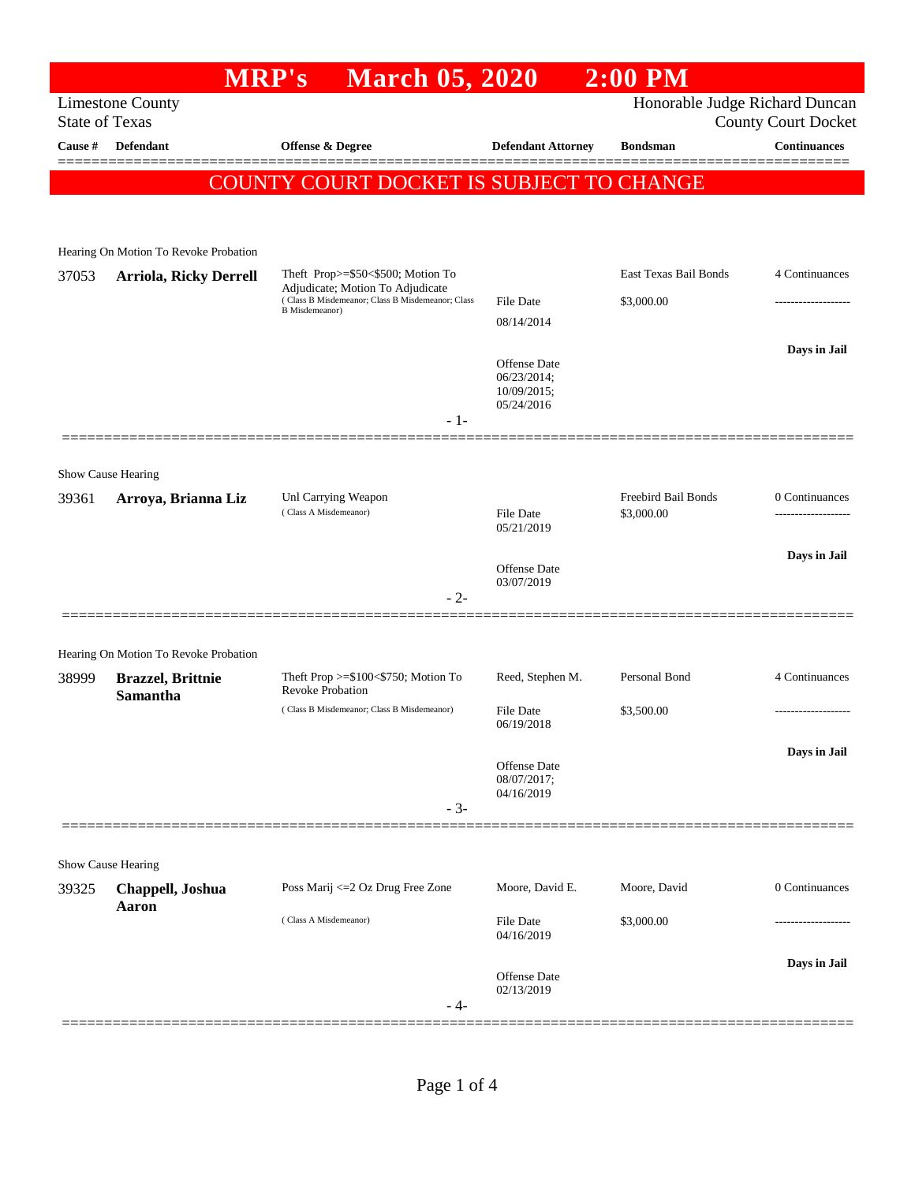## **MRP's March 05, 2020 2:00 PM** Limestone County Honorable Judge Richard Duncan State of Texas County Court Docket **Cause # Defendant Offense & Degree Defendant Attorney Bondsman Continuances** ============================================================================================== COUNTY COURT DOCKET IS SUBJECT TO CHANGE Hearing On Motion To Revoke Probation 37053 **Arriola, Ricky Derrell** Theft Prop>=\$50<\$500; Motion To Adjudicate; Motion To Adjudicate East Texas Bail Bonds 4 Continuances ( Class B Misdemeanor; Class B Misdemeanor; Class B Misdemeanor) File Date \$3,000.00 ------------------- 08/14/2014 **Days in Jail**  Offense Date 06/23/2014; 10/09/2015; 05/24/2016 - 1- ==============================================================================================

## Show Cause Hearing

| 39361              | Arroya, Brianna Liz                          | Unl Carrying Weapon<br>(Class A Misdemeanor)                          | <b>File Date</b><br>05/21/2019                   | Freebird Bail Bonds<br>\$3,000.00 | 0 Continuances<br> |
|--------------------|----------------------------------------------|-----------------------------------------------------------------------|--------------------------------------------------|-----------------------------------|--------------------|
|                    |                                              | $-2-$                                                                 | Offense Date<br>03/07/2019                       |                                   | Days in Jail       |
|                    | Hearing On Motion To Revoke Probation        |                                                                       |                                                  |                                   |                    |
| 38999              | <b>Brazzel</b> , Brittnie<br><b>Samantha</b> | Theft Prop $>=$ \$100 $<$ \$750; Motion To<br><b>Revoke Probation</b> | Reed, Stephen M.                                 | Personal Bond                     | 4 Continuances     |
|                    |                                              | (Class B Misdemeanor; Class B Misdemeanor)                            | <b>File Date</b><br>06/19/2018                   | \$3,500.00                        | .                  |
|                    |                                              | $-3-$                                                                 | <b>Offense</b> Date<br>08/07/2017;<br>04/16/2019 |                                   | Days in Jail       |
| Show Cause Hearing |                                              |                                                                       |                                                  |                                   |                    |
| 39325              | Chappell, Joshua<br>Aaron                    | Poss Marij <= 2 Oz Drug Free Zone                                     | Moore, David E.                                  | Moore, David                      | 0 Continuances     |
|                    |                                              | (Class A Misdemeanor)                                                 | File Date<br>04/16/2019                          | \$3,000.00                        |                    |
|                    |                                              | - 4-                                                                  | Offense Date<br>02/13/2019                       |                                   | Days in Jail       |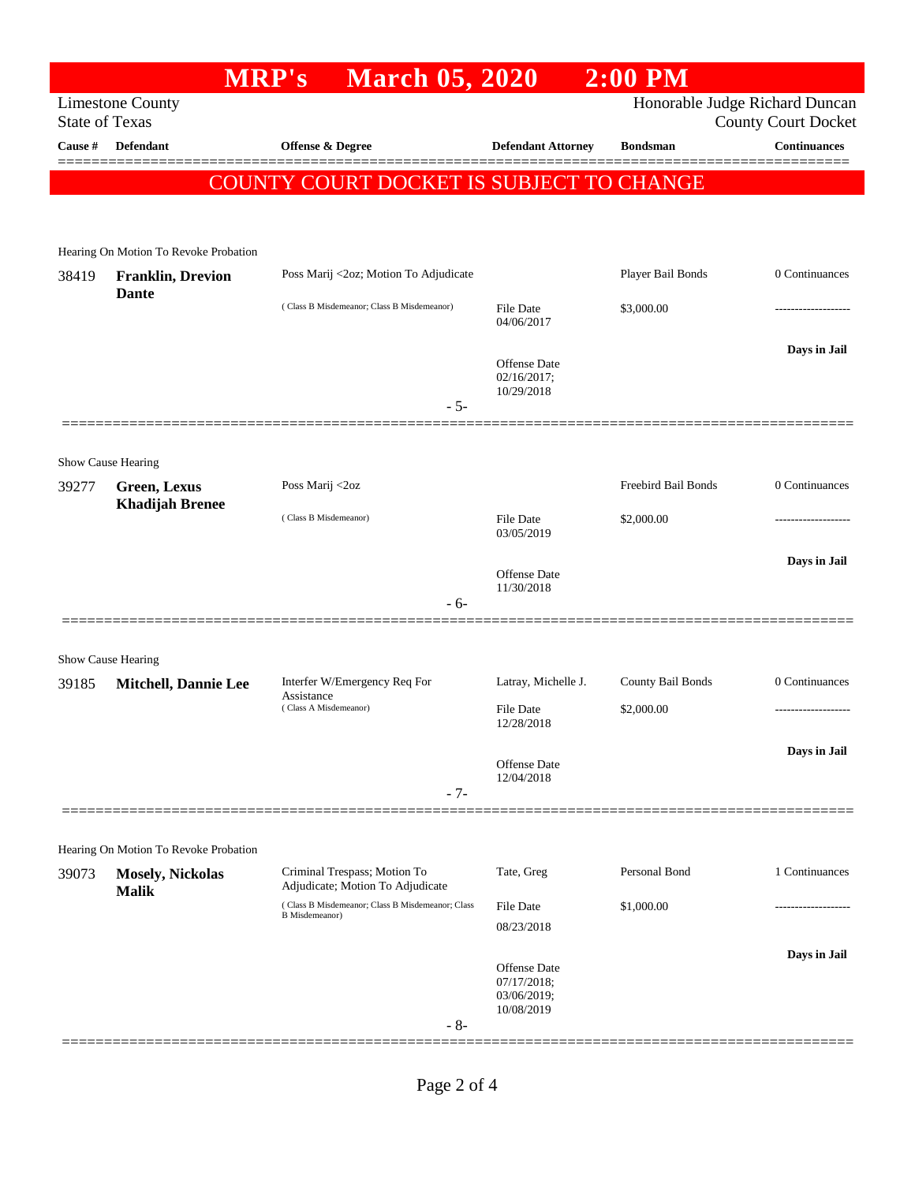|                       |                                          | <b>MRP's</b>                | <b>March 05, 2020</b>                                            |                                                                 | $2:00$ PM           |                                                              |
|-----------------------|------------------------------------------|-----------------------------|------------------------------------------------------------------|-----------------------------------------------------------------|---------------------|--------------------------------------------------------------|
| <b>State of Texas</b> | <b>Limestone County</b>                  |                             |                                                                  |                                                                 |                     | Honorable Judge Richard Duncan<br><b>County Court Docket</b> |
| Cause #               | <b>Defendant</b>                         | <b>Offense &amp; Degree</b> |                                                                  | <b>Defendant Attorney</b>                                       | <b>Bondsman</b>     | <b>Continuances</b>                                          |
|                       |                                          |                             | COUNTY COURT DOCKET IS SUBJECT TO CHANGE                         |                                                                 |                     |                                                              |
|                       |                                          |                             |                                                                  |                                                                 |                     |                                                              |
|                       | Hearing On Motion To Revoke Probation    |                             |                                                                  |                                                                 |                     |                                                              |
| 38419                 | <b>Franklin, Drevion</b><br><b>Dante</b> |                             | Poss Marij <2oz; Motion To Adjudicate                            |                                                                 | Player Bail Bonds   | 0 Continuances                                               |
|                       |                                          |                             | (Class B Misdemeanor; Class B Misdemeanor)                       | <b>File Date</b><br>04/06/2017                                  | \$3,000.00          |                                                              |
|                       |                                          |                             |                                                                  |                                                                 |                     | Days in Jail                                                 |
|                       |                                          |                             |                                                                  | <b>Offense Date</b><br>02/16/2017;<br>10/29/2018                |                     |                                                              |
|                       |                                          |                             | $-5-$                                                            |                                                                 |                     |                                                              |
|                       | Show Cause Hearing                       |                             |                                                                  |                                                                 |                     |                                                              |
| 39277                 | Green, Lexus<br><b>Khadijah Brenee</b>   | Poss Marij <2oz             |                                                                  |                                                                 | Freebird Bail Bonds | 0 Continuances                                               |
|                       |                                          | (Class B Misdemeanor)       |                                                                  | File Date<br>03/05/2019                                         | \$2,000.00          |                                                              |
|                       |                                          |                             |                                                                  | <b>Offense Date</b><br>11/30/2018                               |                     | Days in Jail                                                 |
|                       |                                          |                             | - 6-                                                             |                                                                 |                     |                                                              |
|                       | Show Cause Hearing                       |                             |                                                                  |                                                                 |                     |                                                              |
| 39185                 | <b>Mitchell, Dannie Lee</b>              | Assistance                  | Interfer W/Emergency Req For                                     | Latray, Michelle J.                                             | County Bail Bonds   | 0 Continuances                                               |
|                       |                                          | (Class A Misdemeanor)       |                                                                  | <b>File Date</b><br>12/28/2018                                  | \$2,000.00          | .                                                            |
|                       |                                          |                             |                                                                  | <b>Offense Date</b>                                             |                     | Days in Jail                                                 |
|                       |                                          |                             | $-7-$                                                            | 12/04/2018                                                      |                     |                                                              |
|                       |                                          |                             |                                                                  |                                                                 |                     |                                                              |
|                       | Hearing On Motion To Revoke Probation    |                             |                                                                  |                                                                 |                     |                                                              |
| 39073                 | <b>Mosely, Nickolas</b><br><b>Malik</b>  |                             | Criminal Trespass; Motion To<br>Adjudicate; Motion To Adjudicate | Tate, Greg                                                      | Personal Bond       | 1 Continuances                                               |
|                       |                                          | <b>B</b> Misdemeanor)       | (Class B Misdemeanor; Class B Misdemeanor; Class                 | <b>File Date</b><br>08/23/2018                                  | \$1,000.00          | ----------------                                             |
|                       |                                          |                             |                                                                  |                                                                 |                     | Days in Jail                                                 |
|                       |                                          |                             |                                                                  | <b>Offense Date</b><br>07/17/2018;<br>03/06/2019;<br>10/08/2019 |                     |                                                              |
|                       |                                          |                             | $-8-$                                                            |                                                                 |                     |                                                              |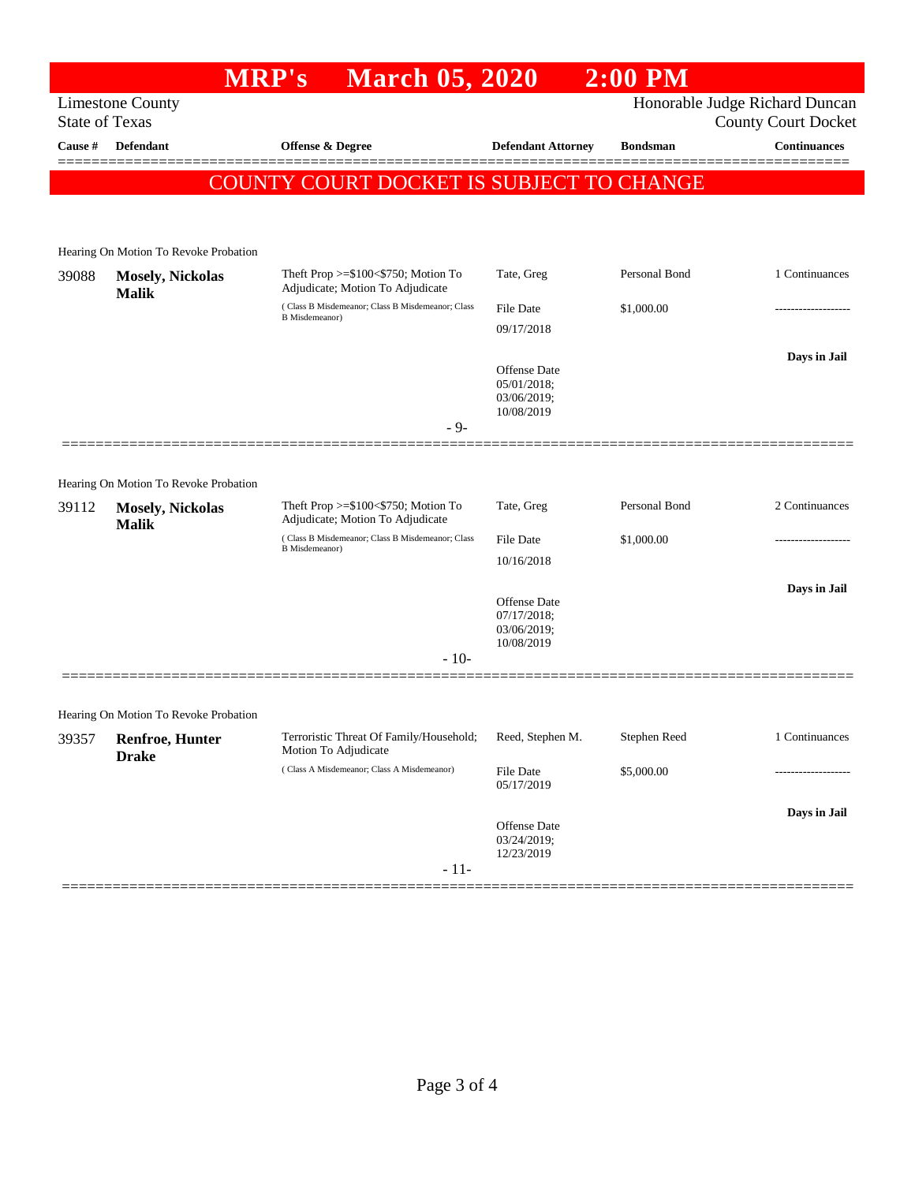## **MRP's March 05, 2020 2:00 PM** Limestone County Honorable Judge Richard Duncan State of Texas County Court Docket **Cause # Defendant Offense & Degree Defendant Attorney Bondsman Continuances** ============================================================================================== COUNTY COURT DOCKET IS SUBJECT TO CHANGE Hearing On Motion To Revoke Probation 39088 **Mosely, Nickolas Malik** Theft Prop >=\$100<\$750; Motion To Adjudicate; Motion To Adjudicate Tate, Greg Personal Bond 1 Continuances ( Class B Misdemeanor; Class B Misdemeanor; Class B Misdemeanor) File Date \$1,000.00 09/17/2018 **Days in Jail**  Offense Date 05/01/2018; 03/06/2019; 10/08/2019 - 9- ============================================================================================== Hearing On Motion To Revoke Probation 39112 **Mosely, Nickolas Malik** Theft Prop >=\$100<\$750; Motion To Adjudicate; Motion To Adjudicate Tate, Greg Personal Bond 2 Continuances ( Class B Misdemeanor; Class B Misdemeanor; Class B Misdemeanor) File Date \$1,000.00 10/16/2018 **Days in Jail**  Offense Date 07/17/2018; 03/06/2019; 10/08/2019 - 10- ============================================================================================== Hearing On Motion To Revoke Probation 39357 **Renfroe, Hunter Drake** Terroristic Threat Of Family/Household; Motion To Adjudicate Reed, Stephen M. Stephen Reed 1 Continuances ( Class A Misdemeanor; Class A Misdemeanor) File Date \$5,000.00 05/17/2019 **Days in Jail**  Offense Date 03/24/2019; 12/23/2019

- 11- ==============================================================================================